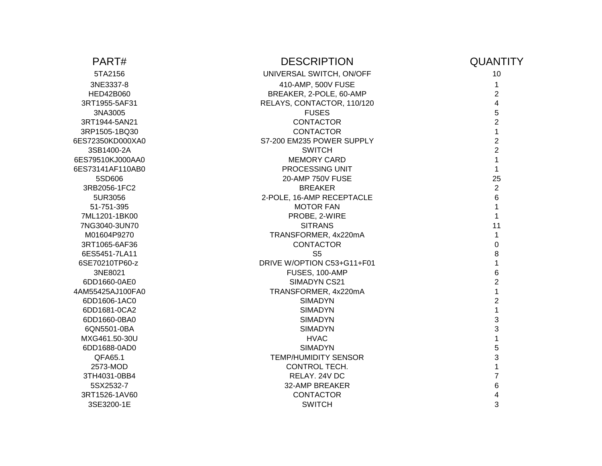| PART#            | <b>DESCRIPTION</b>          | <b>QUANTITY</b>         |
|------------------|-----------------------------|-------------------------|
| 5TA2156          | UNIVERSAL SWITCH, ON/OFF    | 10                      |
| 3NE3337-8        | 410-AMP, 500V FUSE          | $\mathbf{1}$            |
| <b>HED42B060</b> | BREAKER, 2-POLE, 60-AMP     | $\overline{2}$          |
| 3RT1955-5AF31    | RELAYS, CONTACTOR, 110/120  | $\overline{\mathbf{4}}$ |
| 3NA3005          | <b>FUSES</b>                | 5                       |
| 3RT1944-5AN21    | <b>CONTACTOR</b>            | $\overline{2}$          |
| 3RP1505-1BQ30    | <b>CONTACTOR</b>            | $\mathbf{1}$            |
| 6ES72350KD000XA0 | S7-200 EM235 POWER SUPPLY   | $\overline{2}$          |
| 3SB1400-2A       | <b>SWITCH</b>               | $\overline{2}$          |
| 6ES79510KJ000AA0 | <b>MEMORY CARD</b>          | $\mathbf{1}$            |
| 6ES73141AF110AB0 | PROCESSING UNIT             | $\mathbf{1}$            |
| 5SD606           | <b>20-AMP 750V FUSE</b>     | 25                      |
| 3RB2056-1FC2     | <b>BREAKER</b>              | $\overline{2}$          |
| 5UR3056          | 2-POLE, 16-AMP RECEPTACLE   | 6                       |
| 51-751-395       | <b>MOTOR FAN</b>            | $\mathbf{1}$            |
| 7ML1201-1BK00    | PROBE, 2-WIRE               | $\mathbf{1}$            |
| 7NG3040-3UN70    | <b>SITRANS</b>              | 11                      |
| M01604P9270      | TRANSFORMER, 4x220mA        | $\mathbf{1}$            |
| 3RT1065-6AF36    | <b>CONTACTOR</b>            | 0                       |
| 6ES5451-7LA11    | S <sub>5</sub>              | 8                       |
| 6SE70210TP60-z   | DRIVE W/OPTION C53+G11+F01  | $\mathbf{1}$            |
| 3NE8021          | FUSES, 100-AMP              | 6                       |
| 6DD1660-0AE0     | SIMADYN CS21                | $\overline{2}$          |
| 4AM55425AJ100FA0 | TRANSFORMER, 4x220mA        | $\mathbf{1}$            |
| 6DD1606-1AC0     | <b>SIMADYN</b>              | $\overline{2}$          |
| 6DD1681-0CA2     | <b>SIMADYN</b>              | $\mathbf{1}$            |
| 6DD1660-0BA0     | <b>SIMADYN</b>              | 3                       |
| 6QN5501-0BA      | <b>SIMADYN</b>              | 3                       |
| MXG461.50-30U    | <b>HVAC</b>                 | $\mathbf{1}$            |
| 6DD1688-0AD0     | <b>SIMADYN</b>              | 5                       |
| QFA65.1          | <b>TEMP/HUMIDITY SENSOR</b> | 3                       |
| 2573-MOD         | CONTROL TECH.               | $\mathbf 1$             |
| 3TH4031-0BB4     | RELAY. 24V DC               | $\overline{7}$          |
| 5SX2532-7        | 32-AMP BREAKER              | $\,6$                   |
| 3RT1526-1AV60    | <b>CONTACTOR</b>            | 4                       |
| 3SE3200-1E       | <b>SWITCH</b>               | 3                       |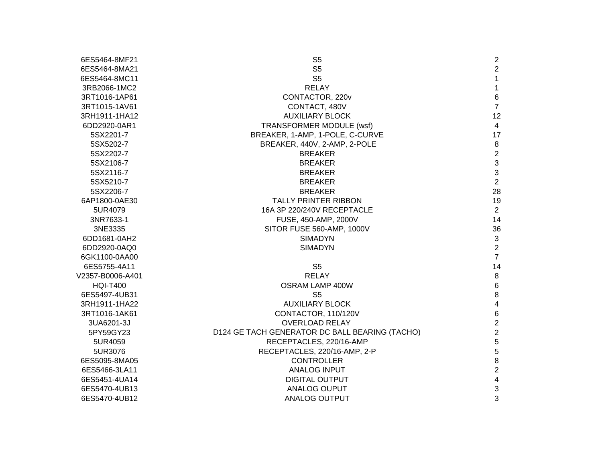| 6ES5464-8MF21    | S <sub>5</sub>                                 | $\overline{2}$          |
|------------------|------------------------------------------------|-------------------------|
| 6ES5464-8MA21    | S <sub>5</sub>                                 | $\overline{2}$          |
| 6ES5464-8MC11    | S <sub>5</sub>                                 | $\mathbf{1}$            |
| 3RB2066-1MC2     | <b>RELAY</b>                                   | $\mathbf{1}$            |
| 3RT1016-1AP61    | CONTACTOR, 220v                                | $\,6$                   |
| 3RT1015-1AV61    | CONTACT, 480V                                  | $\overline{7}$          |
| 3RH1911-1HA12    | <b>AUXILIARY BLOCK</b>                         | 12                      |
| 6DD2920-0AR1     | <b>TRANSFORMER MODULE (wsf)</b>                | $\overline{4}$          |
| 5SX2201-7        | BREAKER, 1-AMP, 1-POLE, C-CURVE                | 17                      |
| 5SX5202-7        | BREAKER, 440V, 2-AMP, 2-POLE                   | $\,8\,$                 |
| 5SX2202-7        | <b>BREAKER</b>                                 | $\overline{2}$          |
| 5SX2106-7        | <b>BREAKER</b>                                 | 3                       |
| 5SX2116-7        | <b>BREAKER</b>                                 | 3                       |
| 5SX5210-7        | <b>BREAKER</b>                                 | $\overline{2}$          |
| 5SX2206-7        | <b>BREAKER</b>                                 | 28                      |
| 6AP1800-0AE30    | <b>TALLY PRINTER RIBBON</b>                    | 19                      |
| 5UR4079          | 16A 3P 220/240V RECEPTACLE                     | $\overline{2}$          |
| 3NR7633-1        | FUSE, 450-AMP, 2000V                           | 14                      |
| 3NE3335          | SITOR FUSE 560-AMP, 1000V                      | 36                      |
| 6DD1681-0AH2     | <b>SIMADYN</b>                                 | $\mathbf{3}$            |
| 6DD2920-0AQ0     | <b>SIMADYN</b>                                 | $\overline{2}$          |
| 6GK1100-0AA00    |                                                | $\overline{7}$          |
| 6ES5755-4A11     | S <sub>5</sub>                                 | 14                      |
| V2357-B0006-A401 | <b>RELAY</b>                                   | $\, 8$                  |
| <b>HQI-T400</b>  | OSRAM LAMP 400W                                | $\,6\,$                 |
| 6ES5497-4UB31    | S <sub>5</sub>                                 | $\,8\,$                 |
| 3RH1911-1HA22    | <b>AUXILIARY BLOCK</b>                         | $\overline{4}$          |
| 3RT1016-1AK61    | CONTACTOR, 110/120V                            | $\,6\,$                 |
| 3UA6201-3J       | <b>OVERLOAD RELAY</b>                          | $\overline{2}$          |
| 5PY59GY23        | D124 GE TACH GENERATOR DC BALL BEARING (TACHO) | $\overline{2}$          |
| 5UR4059          | RECEPTACLES, 220/16-AMP                        | 5                       |
| 5UR3076          | RECEPTACLES, 220/16-AMP, 2-P                   | 5                       |
| 6ES5095-8MA05    | <b>CONTROLLER</b>                              | $\, 8$                  |
| 6ES5466-3LA11    | <b>ANALOG INPUT</b>                            | $\overline{2}$          |
| 6ES5451-4UA14    | <b>DIGITAL OUTPUT</b>                          | $\overline{\mathbf{4}}$ |
| 6ES5470-4UB13    | <b>ANALOG OUPUT</b>                            | $\mathbf{3}$            |
| 6ES5470-4UB12    | ANALOG OUTPUT                                  | 3                       |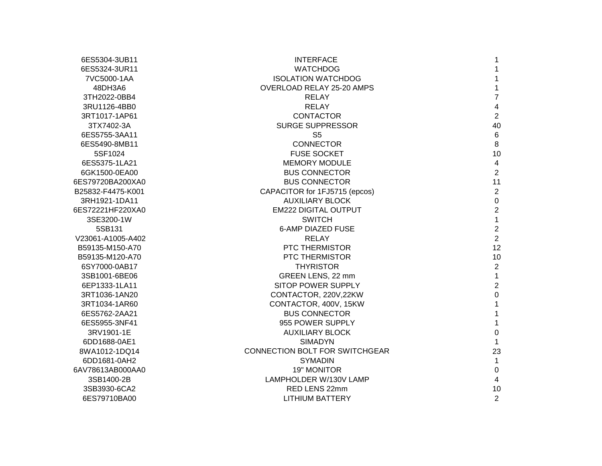| 6ES5304-3UB11     | <b>INTERFACE</b>               |                         |
|-------------------|--------------------------------|-------------------------|
| 6ES5324-3UR11     | <b>WATCHDOG</b>                | 1                       |
| 7VC5000-1AA       | <b>ISOLATION WATCHDOG</b>      | 1                       |
| 48DH3A6           | OVERLOAD RELAY 25-20 AMPS      | $\mathbf{1}$            |
| 3TH2022-0BB4      | <b>RELAY</b>                   | $\overline{7}$          |
| 3RU1126-4BB0      | <b>RELAY</b>                   | $\overline{\mathbf{4}}$ |
| 3RT1017-1AP61     | <b>CONTACTOR</b>               | $\overline{2}$          |
| 3TX7402-3A        | <b>SURGE SUPPRESSOR</b>        | 40                      |
| 6ES5755-3AA11     | S <sub>5</sub>                 | $6\phantom{1}$          |
| 6ES5490-8MB11     | <b>CONNECTOR</b>               | 8                       |
| 5SF1024           | <b>FUSE SOCKET</b>             | 10                      |
| 6ES5375-1LA21     | <b>MEMORY MODULE</b>           | $\overline{4}$          |
| 6GK1500-0EA00     | <b>BUS CONNECTOR</b>           | $\overline{2}$          |
| 6ES79720BA200XA0  | <b>BUS CONNECTOR</b>           | 11                      |
| B25832-F4475-K001 | CAPACITOR for 1FJ5715 (epcos)  | $\overline{2}$          |
| 3RH1921-1DA11     | <b>AUXILIARY BLOCK</b>         | $\pmb{0}$               |
| 6ES72221HF220XA0  | <b>EM222 DIGITAL OUTPUT</b>    | $\overline{2}$          |
| 3SE3200-1W        | <b>SWITCH</b>                  | $\mathbf{1}$            |
| 5SB131            | <b>6-AMP DIAZED FUSE</b>       | $\overline{2}$          |
| V23061-A1005-A402 | <b>RELAY</b>                   | $\overline{2}$          |
| B59135-M150-A70   | PTC THERMISTOR                 | 12                      |
| B59135-M120-A70   | <b>PTC THERMISTOR</b>          | 10                      |
| 6SY7000-0AB17     | <b>THYRISTOR</b>               | $\overline{2}$          |
| 3SB1001-6BE06     | GREEN LENS, 22 mm              | $\mathbf{1}$            |
| 6EP1333-1LA11     | SITOP POWER SUPPLY             | $\overline{2}$          |
| 3RT1036-1AN20     | CONTACTOR, 220V, 22KW          | $\mathbf 0$             |
| 3RT1034-1AR60     | CONTACTOR, 400V, 15KW          | 1                       |
| 6ES5762-2AA21     | <b>BUS CONNECTOR</b>           | 1                       |
| 6ES5955-3NF41     | 955 POWER SUPPLY               | 1                       |
| 3RV1901-1E        | <b>AUXILIARY BLOCK</b>         | $\pmb{0}$               |
| 6DD1688-0AE1      | <b>SIMADYN</b>                 | 1                       |
| 8WA1012-1DQ14     | CONNECTION BOLT FOR SWITCHGEAR | 23                      |
| 6DD1681-0AH2      | <b>SYMADIN</b>                 | $\mathbf{1}$            |
| 6AV78613AB000AA0  | <b>19" MONITOR</b>             | $\mathsf{O}\xspace$     |
| 3SB1400-2B        | LAMPHOLDER W/130V LAMP         | $\overline{4}$          |
| 3SB3930-6CA2      | RED LENS 22mm                  | 10                      |
| 6ES79710BA00      | <b>LITHIUM BATTERY</b>         | $\overline{2}$          |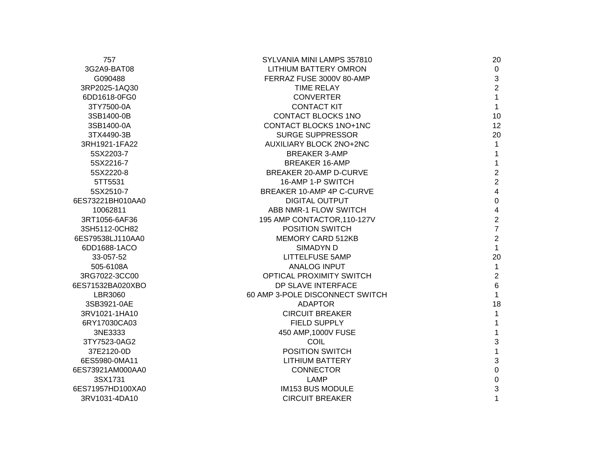| 757              | SYLVANIA MINI LAMPS 357810      | 20               |
|------------------|---------------------------------|------------------|
| 3G2A9-BAT08      | <b>LITHIUM BATTERY OMRON</b>    | $\overline{0}$   |
| G090488          | FERRAZ FUSE 3000V 80-AMP        | $\mathbf{3}$     |
| 3RP2025-1AQ30    | <b>TIME RELAY</b>               | $\overline{2}$   |
| 6DD1618-0FG0     | <b>CONVERTER</b>                | $\mathbf{1}$     |
| 3TY7500-0A       | <b>CONTACT KIT</b>              | $\mathbf{1}$     |
| 3SB1400-0B       | <b>CONTACT BLOCKS 1NO</b>       | 10               |
| 3SB1400-0A       | CONTACT BLOCKS 1NO+1NC          | 12               |
| 3TX4490-3B       | <b>SURGE SUPPRESSOR</b>         | 20               |
| 3RH1921-1FA22    | AUXILIARY BLOCK 2NO+2NC         | 1                |
| 5SX2203-7        | <b>BREAKER 3-AMP</b>            | $\mathbf 1$      |
| 5SX2216-7        | <b>BREAKER 16-AMP</b>           | $\mathbf{1}$     |
| 5SX2220-8        | <b>BREAKER 20-AMP D-CURVE</b>   | $\overline{2}$   |
| 5TT5531          | 16-AMP 1-P SWITCH               | $\overline{2}$   |
| 5SX2510-7        | BREAKER 10-AMP 4P C-CURVE       | $\overline{4}$   |
| 6ES73221BH010AA0 | <b>DIGITAL OUTPUT</b>           | $\pmb{0}$        |
| 10062811         | ABB NMR-1 FLOW SWITCH           | 4                |
| 3RT1056-6AF36    | 195 AMP CONTACTOR, 110-127V     | $\overline{2}$   |
| 3SH5112-0CH82    | POSITION SWITCH                 | $\overline{7}$   |
| 6ES79538LJ110AA0 | <b>MEMORY CARD 512KB</b>        | $\overline{2}$   |
| 6DD1688-1ACO     | <b>SIMADYN D</b>                | $\mathbf{1}$     |
| 33-057-52        | <b>LITTELFUSE 5AMP</b>          | 20               |
| 505-6108A        | <b>ANALOG INPUT</b>             | $\mathbf 1$      |
| 3RG7022-3CC00    | <b>OPTICAL PROXIMITY SWITCH</b> | $\sqrt{2}$       |
| 6ES71532BA020XBO | DP SLAVE INTERFACE              | $6\phantom{1}$   |
| LBR3060          | 60 AMP 3-POLE DISCONNECT SWITCH | $\mathbf{1}$     |
| 3SB3921-0AE      | <b>ADAPTOR</b>                  | 18               |
| 3RV1021-1HA10    | <b>CIRCUIT BREAKER</b>          | $\mathbf 1$      |
| 6RY17030CA03     | <b>FIELD SUPPLY</b>             | $\mathbf{1}$     |
| 3NE3333          | 450 AMP, 1000V FUSE             | 1                |
| 3TY7523-0AG2     | <b>COIL</b>                     | $\mathbf{3}$     |
| 37E2120-0D       | POSITION SWITCH                 | $\mathbf{1}$     |
| 6ES5980-0MA11    | <b>LITHIUM BATTERY</b>          | $\mathbf{3}$     |
| 6ES73921AM000AA0 | <b>CONNECTOR</b>                | $\mathbf 0$      |
| 3SX1731          | <b>LAMP</b>                     | $\boldsymbol{0}$ |
| 6ES71957HD100XA0 | IM153 BUS MODULE                | 3                |
| 3RV1031-4DA10    | <b>CIRCUIT BREAKER</b>          | 1                |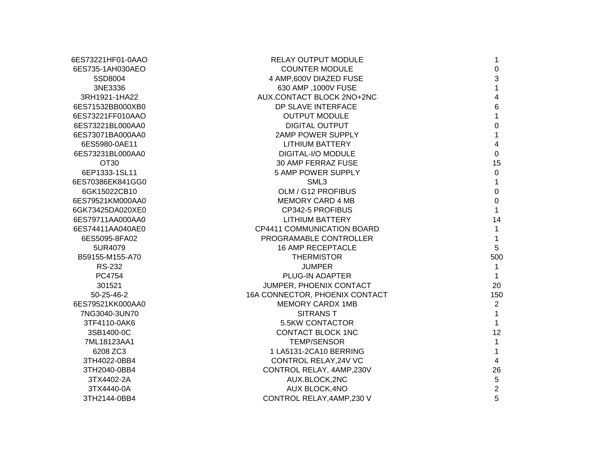| 6ES73221HF01-0AAO | <b>RELAY OUTPUT MODULE</b>        | 1                |
|-------------------|-----------------------------------|------------------|
| 6ES735-1AH030AEO  | <b>COUNTER MODULE</b>             | $\pmb{0}$        |
| 5SD8004           | 4 AMP,600V DIAZED FUSE            | 3                |
| 3NE3336           | 630 AMP, 1000V FUSE               | $\mathbf{1}$     |
| 3RH1921-1HA22     | AUX.CONTACT BLOCK 2NO+2NC         | 4                |
| 6ES71532BB000XB0  | DP SLAVE INTERFACE                | $\,6$            |
| 6ES73221FF010AAO  | <b>OUTPUT MODULE</b>              | $\mathbf{1}$     |
| 6ES73221BL000AA0  | <b>DIGITAL OUTPUT</b>             | $\mathbf 0$      |
| 6ES73071BA000AA0  | <b>2AMP POWER SUPPLY</b>          | $\mathbf{1}$     |
| 6ES5980-0AE11     | LITHIUM BATTERY                   | 4                |
| 6ES73231BL000AA0  | <b>DIGITAL-I/O MODULE</b>         | $\overline{0}$   |
| OT <sub>30</sub>  | 30 AMP FERRAZ FUSE                | 15               |
| 6EP1333-1SL11     | <b>5 AMP POWER SUPPLY</b>         | $\mathbf 0$      |
| 6ES70386EK841GG0  | SML3                              | $\mathbf 1$      |
| 6GK15022CB10      | OLM / G12 PROFIBUS                | $\boldsymbol{0}$ |
| 6ES79521KM000AA0  | <b>MEMORY CARD 4 MB</b>           | $\mathbf 0$      |
| 6GK73425DA020XE0  | CP342-5 PROFIBUS                  | $\mathbf{1}$     |
| 6ES79711AA000AA0  | <b>LITHIUM BATTERY</b>            | 14               |
| 6ES74411AA040AE0  | <b>CP4411 COMMUNICATION BOARD</b> | $\mathbf{1}$     |
| 6ES5095-8FA02     | PROGRAMABLE CONTROLLER            | $\mathbf 1$      |
| 5UR4079           | <b>16 AMP RECEPTACLE</b>          | 5                |
| B59155-M155-A70   | <b>THERMISTOR</b>                 | 500              |
| <b>RS-232</b>     | <b>JUMPER</b>                     | $\mathbf{1}$     |
| PC4754            | <b>PLUG-IN ADAPTER</b>            | $\mathbf 1$      |
| 301521            | JUMPER, PHOENIX CONTACT           | 20               |
| 50-25-46-2        | 16A CONNECTOR, PHOENIX CONTACT    | 150              |
| 6ES79521KK000AA0  | <b>MEMORY CARDX 1MB</b>           | 2                |
| 7NG3040-3UN70     | <b>SITRANS T</b>                  | $\mathbf{1}$     |
| 3TF4110-0AK6      | <b>5.5KW CONTACTOR</b>            | 1                |
| 3SB1400-0C        | CONTACT BLOCK 1NC                 | 12               |
| 7ML18123AA1       | <b>TEMP/SENSOR</b>                | $\mathbf{1}$     |
| 6208 ZC3          | 1 LA5131-2CA10 BERRING            | $\mathbf{1}$     |
| 3TH4022-0BB4      | CONTROL RELAY, 24V VC             | $\overline{4}$   |
| 3TH2040-0BB4      | CONTROL RELAY, 4AMP,230V          | 26               |
| 3TX4402-2A        | AUX.BLOCK,2NC                     | $5\phantom{.0}$  |
| 3TX4440-0A        | <b>AUX BLOCK,4NO</b>              | $\overline{2}$   |
| 3TH2144-0BB4      | CONTROL RELAY, 4AMP, 230 V        | 5                |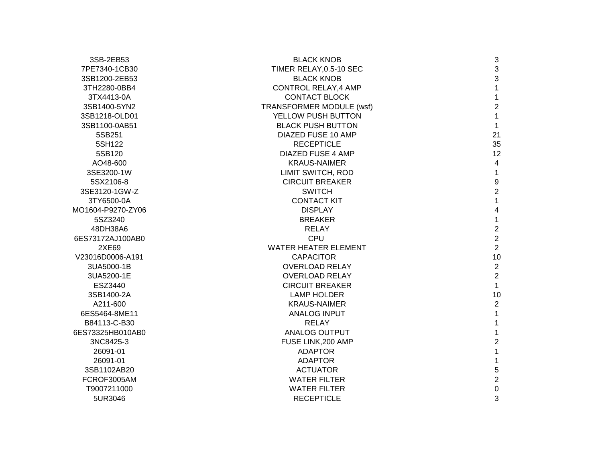| 3SB-2EB53         | <b>BLACK KNOB</b>               | $\sqrt{3}$                                 |
|-------------------|---------------------------------|--------------------------------------------|
| 7PE7340-1CB30     | TIMER RELAY, 0.5-10 SEC         | $\mathbf{3}$                               |
| 3SB1200-2EB53     | <b>BLACK KNOB</b>               | 3                                          |
| 3TH2280-0BB4      | <b>CONTROL RELAY, 4 AMP</b>     | $\mathbf{1}$                               |
| 3TX4413-0A        | <b>CONTACT BLOCK</b>            | $\mathbf{1}$                               |
| 3SB1400-5YN2      | <b>TRANSFORMER MODULE (wsf)</b> | $\overline{2}$                             |
| 3SB1218-OLD01     | YELLOW PUSH BUTTON              | $\mathbf{1}$                               |
| 3SB1100-0AB51     | <b>BLACK PUSH BUTTON</b>        | $\mathbf{1}$                               |
| 5SB251            | DIAZED FUSE 10 AMP              | 21                                         |
| 5SH122            | <b>RECEPTICLE</b>               | 35                                         |
| 5SB120            | <b>DIAZED FUSE 4 AMP</b>        | 12                                         |
| AO48-600          | <b>KRAUS-NAIMER</b>             | $\overline{\mathbf{4}}$                    |
| 3SE3200-1W        | <b>LIMIT SWITCH, ROD</b>        | $\mathbf{1}$                               |
| 5SX2106-8         | <b>CIRCUIT BREAKER</b>          | $\frac{9}{2}$                              |
| 3SE3120-1GW-Z     | <b>SWITCH</b>                   |                                            |
| 3TY6500-0A        | <b>CONTACT KIT</b>              | $\overline{1}$                             |
| MO1604-P9270-ZY06 | <b>DISPLAY</b>                  | $\overline{\mathbf{4}}$                    |
| 5SZ3240           | <b>BREAKER</b>                  | $\mathbf 1$                                |
| 48DH38A6          | <b>RELAY</b>                    |                                            |
| 6ES73172AJ100AB0  | <b>CPU</b>                      | $\begin{array}{c} 2 \\ 2 \\ 2 \end{array}$ |
| 2XE69             | <b>WATER HEATER ELEMENT</b>     |                                            |
| V23016D0006-A191  | <b>CAPACITOR</b>                | 10                                         |
| 3UA5000-1B        | <b>OVERLOAD RELAY</b>           | $\boldsymbol{2}$                           |
| 3UA5200-1E        | <b>OVERLOAD RELAY</b>           | $\overline{2}$                             |
| ESZ3440           | <b>CIRCUIT BREAKER</b>          | $\mathbf{1}$                               |
| 3SB1400-2A        | <b>LAMP HOLDER</b>              | 10                                         |
| A211-600          | <b>KRAUS-NAIMER</b>             | $\sqrt{2}$                                 |
| 6ES5464-8ME11     | <b>ANALOG INPUT</b>             | $\mathbf{1}$                               |
| B84113-C-B30      | <b>RELAY</b>                    | $\mathbf{1}$                               |
| 6ES73325HB010AB0  | <b>ANALOG OUTPUT</b>            | $\mathbf 1$                                |
| 3NC8425-3         | FUSE LINK, 200 AMP              | $\overline{2}$                             |
| 26091-01          | <b>ADAPTOR</b>                  | $\mathbf 1$                                |
| 26091-01          | <b>ADAPTOR</b>                  | $\mathbf{1}$                               |
| 3SB1102AB20       | <b>ACTUATOR</b>                 | $\sqrt{5}$                                 |
| FCROF3005AM       | <b>WATER FILTER</b>             | $\overline{2}$                             |
| T9007211000       | <b>WATER FILTER</b>             | $\pmb{0}$                                  |
| 5UR3046           | <b>RECEPTICLE</b>               | 3                                          |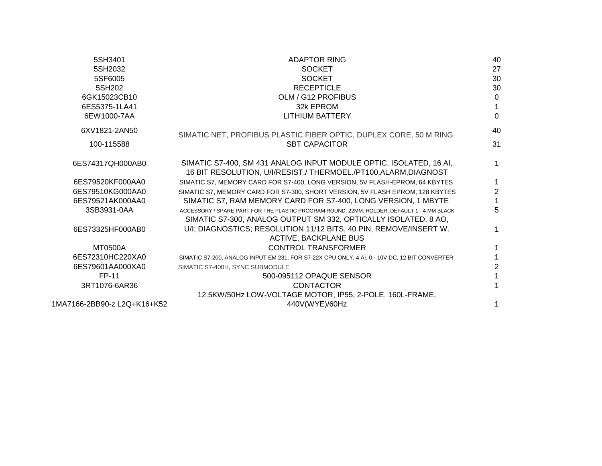| 5SH3401                     | <b>ADAPTOR RING</b>                                                                                                                                           | 40             |
|-----------------------------|---------------------------------------------------------------------------------------------------------------------------------------------------------------|----------------|
| 5SH2032                     | <b>SOCKET</b>                                                                                                                                                 | 27             |
| 5SF6005                     | <b>SOCKET</b>                                                                                                                                                 | 30             |
| 5SH202                      | <b>RECEPTICLE</b>                                                                                                                                             | 30             |
| 6GK15023CB10                | OLM / G12 PROFIBUS                                                                                                                                            | 0              |
| 6ES5375-1LA41               | 32k EPROM                                                                                                                                                     | $\mathbf{1}$   |
| 6EW1000-7AA                 | LITHIUM BATTERY                                                                                                                                               | $\mathbf 0$    |
| 6XV1821-2AN50               | SIMATIC NET, PROFIBUS PLASTIC FIBER OPTIC, DUPLEX CORE, 50 M RING                                                                                             | 40             |
| 100-115588                  | <b>SBT CAPACITOR</b>                                                                                                                                          | 31             |
| 6ES74317QH000AB0            | SIMATIC S7-400, SM 431 ANALOG INPUT MODULE OPTIC. ISOLATED, 16 AI,<br>16 BIT RESOLUTION, U/I/RESIST./ THERMOEL./PT100, ALARM, DIAGNOST                        | 1              |
| 6ES79520KF000AA0            | SIMATIC S7, MEMORY CARD FOR S7-400, LONG VERSION, 5V FLASH-EPROM, 64 KBYTES                                                                                   | 1              |
| 6ES79510KG000AA0            | SIMATIC S7, MEMORY CARD FOR S7-300, SHORT VERSION, 5V FLASH EPROM, 128 KBYTES                                                                                 | $\overline{2}$ |
| 6ES79521AK000AA0            | SIMATIC S7, RAM MEMORY CARD FOR S7-400, LONG VERSION, 1 MBYTE                                                                                                 | 1              |
| 3SB3931-0AA                 | ACCESSORY / SPARE PART FOR THE PLASTIC PROGRAM ROUND, 22MM: HOLDER, DEFAULT 1 - 4 MM BLACK<br>SIMATIC S7-300, ANALOG OUTPUT SM 332, OPTICALLY ISOLATED, 8 AO, | 5              |
| 6ES73325HF000AB0            | U/I; DIAGNOSTICS; RESOLUTION 11/12 BITS, 40 PIN, REMOVE/INSERT W.<br><b>ACTIVE, BACKPLANE BUS</b>                                                             | 1              |
| MT0500A                     | <b>CONTROL TRANSFORMER</b>                                                                                                                                    | 1              |
| 6ES72310HC220XA0            | SIMATIC S7-200, ANALOG INPUT EM 231, FOR S7-22X CPU ONLY, 4 AI, 0 - 10V DC, 12 BIT CONVERTER                                                                  |                |
| 6ES79601AA000XA0            | SIMATIC S7-400H, SYNC SUBMODULE                                                                                                                               | $\overline{2}$ |
| <b>FP-11</b>                | 500-095112 OPAQUE SENSOR                                                                                                                                      |                |
| 3RT1076-6AR36               | <b>CONTACTOR</b>                                                                                                                                              | 1              |
|                             | 12.5KW/50Hz LOW-VOLTAGE MOTOR, IP55, 2-POLE, 160L-FRAME,                                                                                                      |                |
| 1MA7166-2BB90-z L2Q+K16+K52 | 440V(WYE)/60Hz                                                                                                                                                | 1              |
|                             |                                                                                                                                                               |                |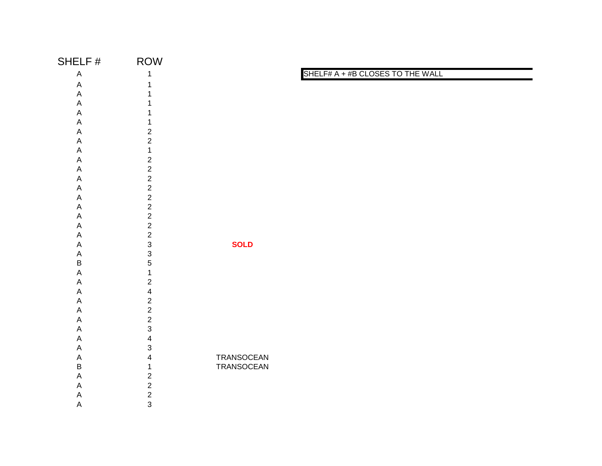| SHELF#      | <b>ROW</b>                |             |                                  |
|-------------|---------------------------|-------------|----------------------------------|
| $\mathsf A$ |                           |             | SHELF# A + #B CLOSES TO THE WALL |
| A           |                           |             |                                  |
| A           |                           |             |                                  |
| А           |                           |             |                                  |
| Α           |                           |             |                                  |
| Α           |                           |             |                                  |
| Α           | 2                         |             |                                  |
| Α           | $\overline{c}$            |             |                                  |
| A           |                           |             |                                  |
| A           | $\boldsymbol{2}$          |             |                                  |
| Α           | $\overline{c}$            |             |                                  |
| Α           | $\mathbf 2$               |             |                                  |
| Α           | $\overline{c}$            |             |                                  |
| Α           | $\mathbf 2$               |             |                                  |
| Α           | $\boldsymbol{2}$          |             |                                  |
| Α           | $\boldsymbol{2}$          |             |                                  |
| Α           | $\boldsymbol{2}$          |             |                                  |
| Α           | $\overline{c}$            |             |                                  |
| Α           | $\mathsf 3$               | <b>SOLD</b> |                                  |
| A           | $\ensuremath{\mathsf{3}}$ |             |                                  |
| $\sf B$     | $\mathbf 5$               |             |                                  |
| Α           | 1                         |             |                                  |
| Α           | $\boldsymbol{2}$          |             |                                  |
| Α           | 4                         |             |                                  |
| Α           | $\boldsymbol{2}$          |             |                                  |
| Α           | $\boldsymbol{2}$          |             |                                  |
| Α           | $\boldsymbol{2}$          |             |                                  |
| Α           | $\mathsf 3$               |             |                                  |
| Α           | 4                         |             |                                  |
| A           | $\ensuremath{\mathsf{3}}$ |             |                                  |
| A           | $\overline{\mathbf{4}}$   | TRANSOCEAN  |                                  |
| B           | 1                         | TRANSOCEAN  |                                  |
| Α           | $\boldsymbol{2}$          |             |                                  |
| Α           | $\boldsymbol{2}$          |             |                                  |
| Α           | $\overline{\mathbf{c}}$   |             |                                  |
| $\mathsf A$ | $\mathfrak{S}$            |             |                                  |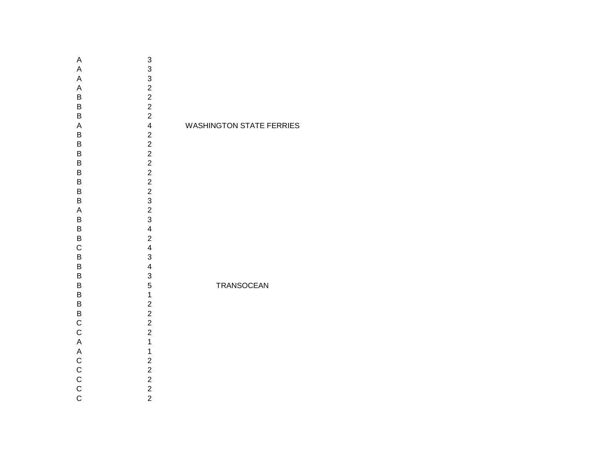| A              | 3                       |                                 |
|----------------|-------------------------|---------------------------------|
| A              | 3                       |                                 |
| A              | $3222$<br>$224$         |                                 |
| A              |                         |                                 |
| B              |                         |                                 |
| B              |                         |                                 |
| B              |                         |                                 |
| A              |                         | <b>WASHINGTON STATE FERRIES</b> |
| B              |                         |                                 |
| B              |                         |                                 |
| B              |                         |                                 |
| B              |                         |                                 |
| B              |                         |                                 |
| B              |                         |                                 |
| B              |                         |                                 |
| B              |                         |                                 |
| $\sf A$        | 222222323               |                                 |
| B              |                         |                                 |
| B              | $\overline{\mathbf{4}}$ |                                 |
| B              | $\frac{2}{4}$           |                                 |
| $\mathsf C$    |                         |                                 |
| B              | 3                       |                                 |
| B              | $\overline{\mathbf{4}}$ |                                 |
| B              | 3                       |                                 |
| B              | 5                       | TRANSOCEAN                      |
| B              |                         |                                 |
| B              |                         |                                 |
| $\mathsf B$    | $1222$<br>$221$         |                                 |
| $\frac{C}{C}$  |                         |                                 |
|                |                         |                                 |
|                |                         |                                 |
|                |                         |                                 |
| <b>AACCCCC</b> | 12222                   |                                 |
|                |                         |                                 |
|                |                         |                                 |
|                |                         |                                 |
|                |                         |                                 |
|                |                         |                                 |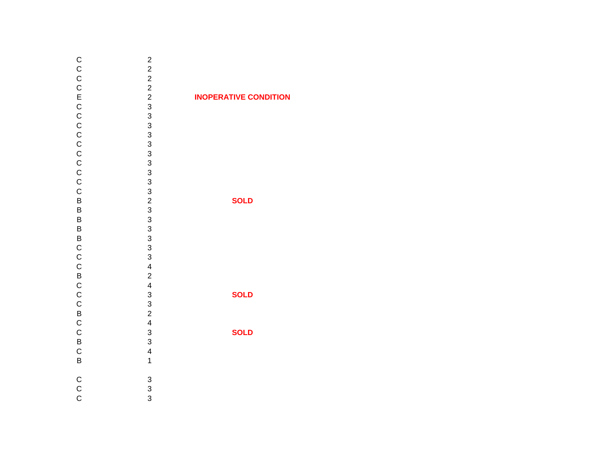| CCCCECCCCCCCCCCBBBBBCCCBCCCBCCBCCB |                                       | <b>INOPERATIV</b><br>$\overline{\mathbf{s}}$<br>S <sup>(</sup><br>S) |
|------------------------------------|---------------------------------------|----------------------------------------------------------------------|
| C<br>C<br>C                        | $\begin{array}{c} 3 \\ 3 \end{array}$ |                                                                      |

## **VE CONDITION**

## **SOLD**

## 3 **SOLD**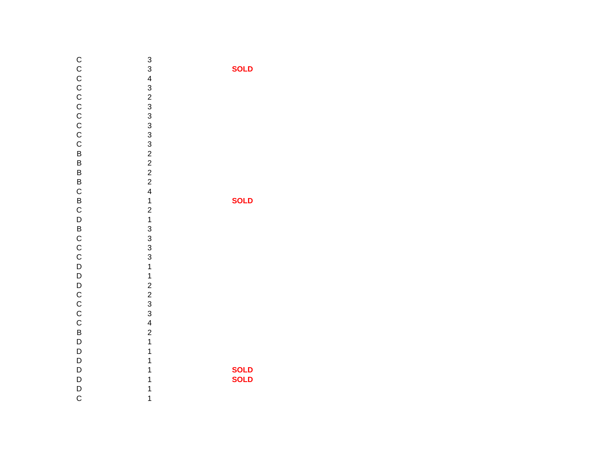| CCCCCCCCCCBBBBCBCDBCCCDDDCCCCBDDDDDC | 3                                                                         |
|--------------------------------------|---------------------------------------------------------------------------|
|                                      | 3 4 3 2 3 3 3 3 3 2 2 2 2 4 1 2 1 3 3 3 3 1 1 2 2 3 3 4 2 1 1 1 1 1 1 1 1 |
|                                      |                                                                           |
|                                      |                                                                           |
|                                      |                                                                           |
|                                      |                                                                           |
|                                      |                                                                           |
|                                      |                                                                           |
|                                      |                                                                           |
|                                      |                                                                           |
|                                      |                                                                           |
|                                      |                                                                           |
|                                      |                                                                           |
|                                      |                                                                           |
|                                      |                                                                           |
|                                      |                                                                           |
|                                      |                                                                           |
|                                      |                                                                           |
|                                      |                                                                           |
|                                      |                                                                           |
|                                      |                                                                           |
|                                      |                                                                           |
|                                      |                                                                           |
|                                      |                                                                           |
|                                      |                                                                           |
|                                      |                                                                           |
|                                      |                                                                           |
|                                      |                                                                           |
|                                      |                                                                           |
|                                      |                                                                           |
|                                      |                                                                           |
|                                      |                                                                           |
|                                      |                                                                           |
|                                      |                                                                           |

3 **SOLD**

1 **SOLD**

1 **SOLD** 1 **SOLD**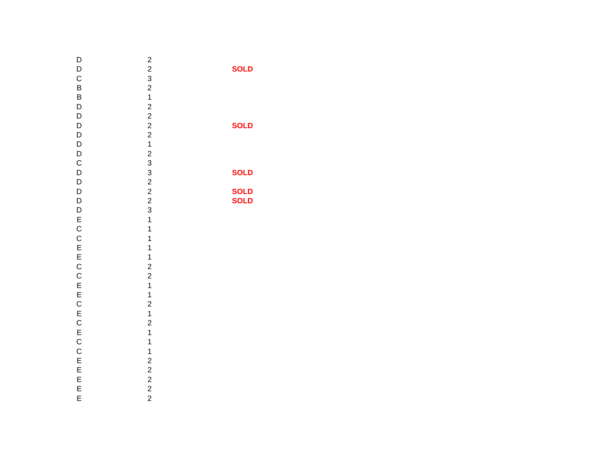## 2 **SOLD**

2 **SOLD** 3 **SOLD**

2 **SOLD**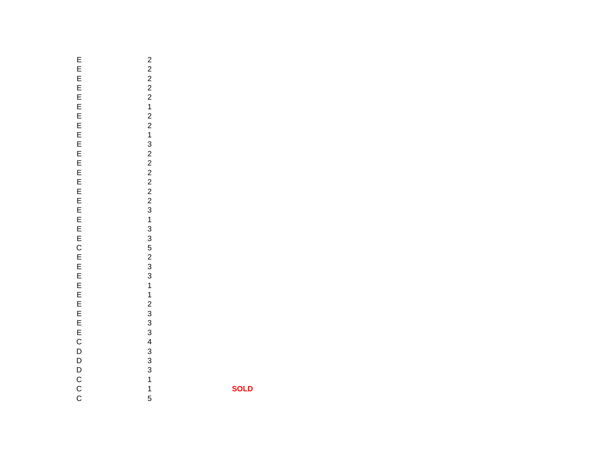E E E E E E E E E E E E E E E E E E E E C E E E E E E E E E C D D D C C C